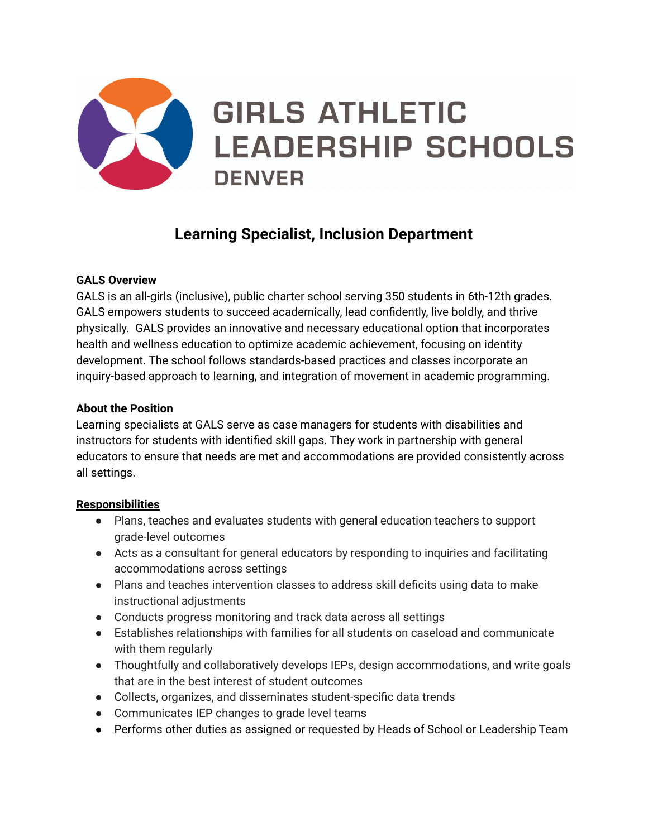

# **Learning Specialist, Inclusion Department**

## **GALS Overview**

GALS is an all-girls (inclusive), public charter school serving 350 students in 6th-12th grades. GALS empowers students to succeed academically, lead confidently, live boldly, and thrive physically. GALS provides an innovative and necessary educational option that incorporates health and wellness education to optimize academic achievement, focusing on identity development. The school follows standards-based practices and classes incorporate an inquiry-based approach to learning, and integration of movement in academic programming.

#### **About the Position**

Learning specialists at GALS serve as case managers for students with disabilities and instructors for students with identified skill gaps. They work in partnership with general educators to ensure that needs are met and accommodations are provided consistently across all settings.

#### **Responsibilities**

- Plans, teaches and evaluates students with general education teachers to support grade-level outcomes
- Acts as a consultant for general educators by responding to inquiries and facilitating accommodations across settings
- Plans and teaches intervention classes to address skill deficits using data to make instructional adjustments
- Conducts progress monitoring and track data across all settings
- Establishes relationships with families for all students on caseload and communicate with them regularly
- Thoughtfully and collaboratively develops IEPs, design accommodations, and write goals that are in the best interest of student outcomes
- Collects, organizes, and disseminates student-specific data trends
- Communicates IEP changes to grade level teams
- Performs other duties as assigned or requested by Heads of School or Leadership Team